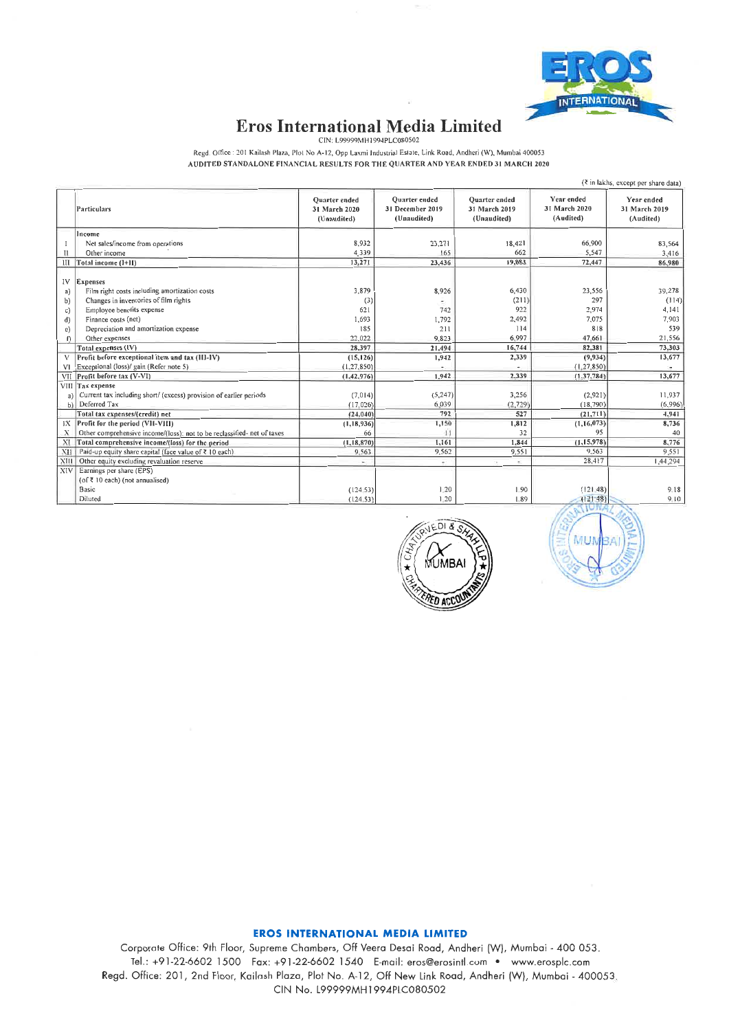

# **Eros International Media Limited**

CIN: L99999MH1994PLC080502

Regd. Office : 201 Kailash Plaza, Plot No A-12, Opp Laxmi Industrial Estate, Link Road, Andheri (W), Mumbai 400053 AUDITED STANDALONE FINANCIAL RESULTS FOR THE QUARTER AND YEAR ENDED 31 MARCH 2020

 $($ ₹ in lakhs, except per share data) Quarter ended Quarter ended Quarter ended Year ended Year ended 31 December 2019<br>(Unaudited) Particulars 31 March 2020 31 March 2019 31 March 2020 31 March 2019 (Audited) (Unaudited) (Audited) (Unaudited) Income Net sales/income from operations 8932 23 271 18.421 66.900 83,564  $\tau$ 4339 5.547  $\overline{1}$ Other income 165 662 3.416 19,083 72,447 Total income (1+11) 86,980 13,271 23,436  $\mathbf{H}$  $\mathbf{v}$ **Expenses** Film right costs including amortization costs<br>Changes in inventories of film rights 3.879 8.926 6.430 23,556 39.278  $a)$  $(211)$ 297  $(114)$  $(3)$  $<sub>b</sub>$ </sub> Employee benefits expense  $621$  $742$  $922$ 2,974  $4,141$ c) Finance costs (net) 1,693 1,792 2,492 7.075 7,903  $\overline{d}$  $\overline{c}$ Depreciation and amortization expense 185  $211$ 114 818 539 22,022 6,997 47,661  $\overline{D}$ Other expenses 9.823 21.556 82.381 Total expenses (IV) 28,397 21,494 16,744 73,303  $\overline{v}$ Profit before exceptional item and tax (III-IV)  $(15, 126)$  $1,942$ 2,339  $(9, 934)$ 13,677  $VI$ Exceptional (loss)/ gain (Refer note 5)  $(1, 27, 850)$  $(1.27.850)$ 13.677 1.942 2.339  $(1.37, 784)$ VII Profit before tax (V-VI)  $(1, 42, 976)$ VIII Tax expense Current tax including short/ (excess) provision of earlier periods  $(7, 014)$  $(5, 247)$ 3,256  $(2.921)$ 11,937  $a)$  $b)$ Deferred Tax  $(17.026)$ 6,039  $(2,729)$  $(18.790)$  $(6,996)$ Total tax expenses/(credit) net  $(24.040)$ 792 527  $(21.711)$ 4.941 Profit for the period (VII-VIII)  $\overline{IX}$ 1,150 1,812  $(1,16,073)$ 8,736  $(1, 18, 936)$  $\lambda$ Other comprehensive income/(loss): not to be reclassified- net of taxes 66  $11$ 32  $95$ 40  $(1.15.978)$ XI Total comprehensive income/(loss) for the period  $(1.18, 870)$ 1,161 1.844 8.776 XII Paid-up equity share capital (face value of ₹ 10 each) 9.563 9,562 9,551 9,563 9.551  $1,44,294$ 28,417 XIII Other equity excluding revaluation reserve Earnings per share (EPS) **XIV** (of ₹ 10 each) (not annualised)  $(124.53)$  $(121.48)$ **Basic**  $1:20$ 1:90  $9:18$ Diluted  $(124.53)$  $1,20$ 1.89  $(121.48)$  $910$ 





#### **EROS INTERNATIONAL MEDIA LIMITED**

Corporate Office: 9th Floor, Supreme Chambers, Off Veera Desai Road, Andheri (W), Mumbai - 400 053. Tel.: +91-22-6602 1500 Fax: +91-22-6602 1540 E-mail: eros@erosintl.com • www.erosplc.com Regd. Office: 201, 2nd Floor, Kailash Plaza, Plot No. A-12, Off New Link Road, Andheri (W), Mumbai - 400053. CIN No. L99999MH1994PLC080502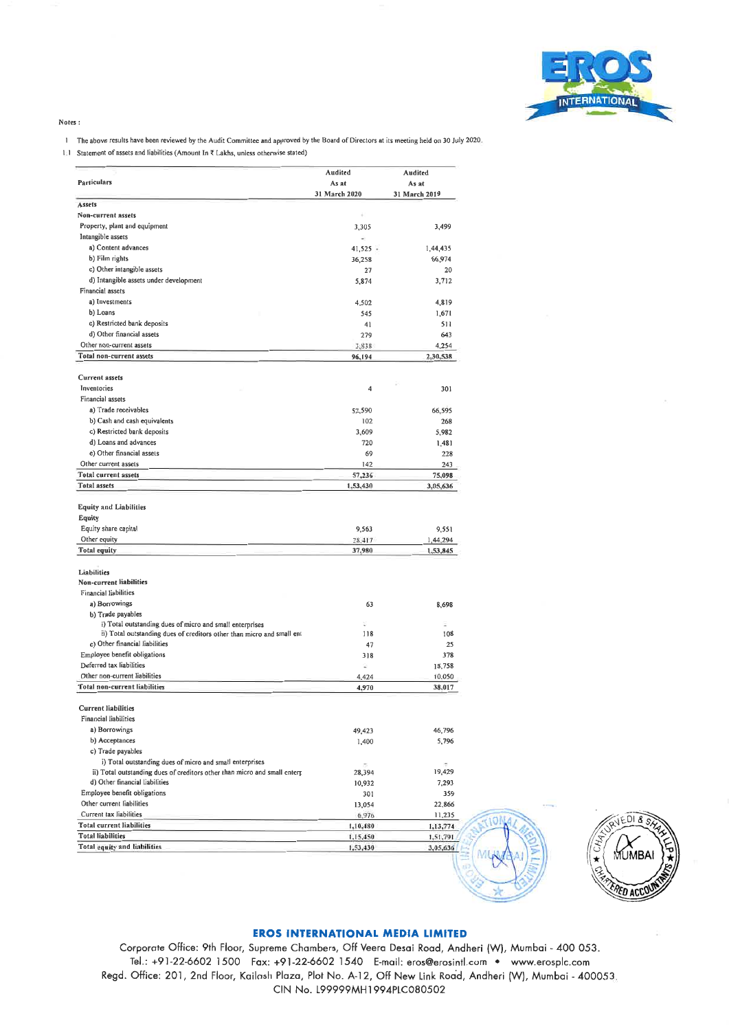

#### Notes:

1 The above results have been reviewed by the Audit Committee and approved by the Board of Directors at its meeting held on 30 July 2020

1.1 Statement of assets and liabilities (Amount In ₹ Lakhs, unless otherwise stated)

| Particulars                                                               | Audited<br>As at | Audited                                                                                                   |
|---------------------------------------------------------------------------|------------------|-----------------------------------------------------------------------------------------------------------|
|                                                                           | 31 March 2020    | As at<br>31 March 2019                                                                                    |
| Assets                                                                    |                  |                                                                                                           |
| Non-current assets                                                        |                  |                                                                                                           |
| Property, plant and equipment                                             | 3,305            | 3,499                                                                                                     |
| Intangible assets                                                         | $\sim$           |                                                                                                           |
| a) Content advances                                                       | 41,525           | 1,44,435                                                                                                  |
| b) Film rights                                                            | 36,258           | 66,974                                                                                                    |
| c) Other intangible assets                                                | 27               | 20                                                                                                        |
| d) Intangible assets under development                                    | 5,874            | 3.712                                                                                                     |
| Financial assets                                                          |                  |                                                                                                           |
| a) Investments                                                            | 4,502            | 4,819                                                                                                     |
| b) Loans                                                                  | 545              | 1,671                                                                                                     |
| c) Restricted bank deposits                                               | 41               | 511                                                                                                       |
| d) Other financial assets                                                 | 279              | 643                                                                                                       |
| Other non-current assets                                                  | 3,838            | 4,254                                                                                                     |
| <b>Total non-current assets</b>                                           | 96,194           | 2,30,538                                                                                                  |
| Current assets                                                            |                  |                                                                                                           |
| Inventories                                                               | 4                | 301                                                                                                       |
| Financial assets                                                          |                  |                                                                                                           |
| a) Trade receivables                                                      | 52,590           | 66,595                                                                                                    |
| b) Cash and cash equivalents                                              | 102              | 268                                                                                                       |
| c) Restricted bank deposits                                               | 3,609            | 5,982                                                                                                     |
| d) Loans and advances                                                     | 720              | 1.481                                                                                                     |
| e) Other financial assets                                                 | 69               | 228                                                                                                       |
| Other current assets                                                      | 142              | 243                                                                                                       |
| <b>Total current assets</b>                                               | 57,236           | 75,098                                                                                                    |
| <b>Total assets</b>                                                       | 1,53,430         | 3,05,636                                                                                                  |
| Equity share capital<br>Other equity                                      | 9,563<br>28,417  | 9,551<br>1,44,294                                                                                         |
| <b>Total equity</b>                                                       | 37.980           | 1.53.845                                                                                                  |
| Liabilities                                                               |                  |                                                                                                           |
| Non-current liabilities                                                   |                  |                                                                                                           |
| <b>Financial liabilities</b>                                              |                  |                                                                                                           |
| a) Borrowings                                                             | 63               | 8,698                                                                                                     |
| b) Trade payables                                                         |                  |                                                                                                           |
| i) Total outstanding dues of micro and small enterprises                  |                  |                                                                                                           |
| ii) Total outstanding dues of creditors other than micro and small ent    | 118              | 108                                                                                                       |
| c) Other financial liabilities                                            | 47               | 25                                                                                                        |
| Employee benefit obligations                                              | 318              | 378                                                                                                       |
|                                                                           |                  | 18,758                                                                                                    |
| Deferred tax liabilities                                                  | Ġ,               |                                                                                                           |
| Other non-current liabilities                                             | 4,424            |                                                                                                           |
|                                                                           | 4,970            |                                                                                                           |
| Total non-current liabilities<br><b>Current liabilities</b>               |                  |                                                                                                           |
| Financial liabilities                                                     |                  |                                                                                                           |
| a) Borrowings                                                             | 49,423           |                                                                                                           |
| b) Acceptances                                                            | 1,400            |                                                                                                           |
| c) Trade payables                                                         |                  |                                                                                                           |
| i) Total outstanding dues of micro and small enterprises                  |                  |                                                                                                           |
| ii) Total outstanding dues of creditors other than micro and small enterp | 28,394           |                                                                                                           |
| d) Other financial liabilities                                            | 10,932           |                                                                                                           |
| Employee benefit obligations                                              | 301              |                                                                                                           |
| Other current liabilities                                                 | 13,054           |                                                                                                           |
| Current tax liabilities                                                   | 6,976            |                                                                                                           |
|                                                                           | 1,10,480         |                                                                                                           |
| <b>Total current liabilities</b><br><b>Total liabilities</b>              | 1,15,450         | 10,050<br>38,017<br>46,796<br>5,796<br>19,429<br>7,293<br>359<br>22,866<br>11,235<br>1,13,774<br>1,51,791 |



## **EROS INTERNATIONAL MEDIA LIMITED**

Corporate Office: 9th Floor, Supreme Chambers, Off Veera Desai Road, Andheri (W), Mumbai - 400 053. Tel.: +91-22-6602 1500 Fax: +91-22-6602 1540 E-mail: eros@erosintl.com . www.erosplc.com Regd. Office: 201, 2nd Floor, Kailash Plaza, Plot No. A-12, Off New Link Road, Andheri (W), Mumbai - 400053. CIN No. L99999MH1994PLC080502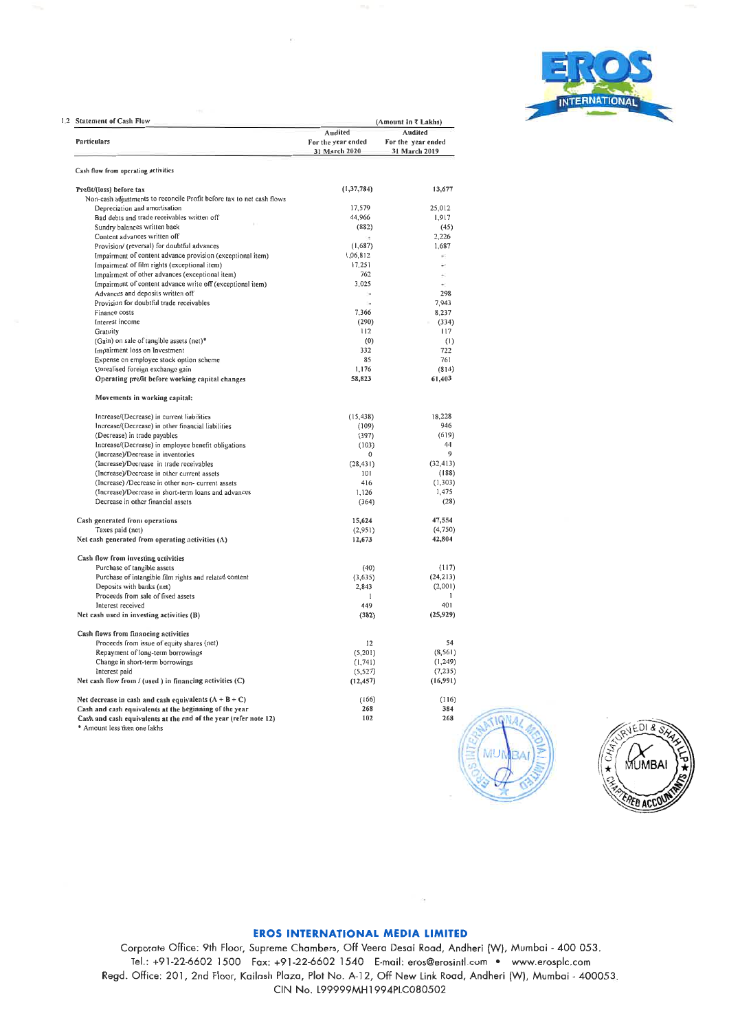

| 2 Statement of Cash Flow                                              |                    | (Amount In ₹ Lakhs) |
|-----------------------------------------------------------------------|--------------------|---------------------|
|                                                                       | Audited<br>Audited |                     |
| Particulars                                                           | For the year ended | For the year ended  |
|                                                                       | 31 March 2020      | 31 March 2019       |
| Cash flow from operating activities                                   |                    |                     |
| Profit/(loss) before tax                                              | (1, 37, 784)       | 13,677              |
| Non-cash adjustments to reconcile Profit before tax to net cash flows |                    |                     |
| Depreciation and amortisation                                         | 17,579             | 25,012              |
| Bad debts and trade receivables written off                           | 44,966             | 1,917               |
| Sundry balances written back                                          | (882)              | (45)                |
| Content advances written off                                          |                    | 2,226               |
| Provision/ (reversal) for doubtful advances                           | (1,687)            | 1.687               |
| Impairment of content advance provision (exceptional item)            | 1,06,812           | ÷.                  |
| Impairment of film rights (exceptional item)                          | 17,251             | ÷.                  |
| Impairment of other advances (exceptional item)                       | 762                | à.                  |
| Impairment of content advance write off (exceptional item)            | 3,025              | à.                  |
| Advances and deposits written off                                     |                    | 298                 |
| Provision for doubtful trade receivables                              |                    | 7,943               |
| Finance costs                                                         | 7,366              | 8,237               |
| Interest income                                                       |                    |                     |
|                                                                       | (290)              | (334)               |
| Gratuity                                                              | 112                | 117                 |
| (Gain) on sale of tangible assets (net)*                              | (0)                | (1)                 |
| Impairment loss on Investment                                         | 332                | 722                 |
| Expense on employee stock option scheme                               | 85                 | 761                 |
| Unrealised foreign exchange gain                                      | 1,176              | (814)               |
| Operating profit before working capital changes                       | 58,823             | 61,403              |
| Movements in working capital:                                         |                    |                     |
| Increase/(Decrease) in current liabilities                            | (15, 438)          | 18,228              |
| Increase/(Decrease) in other financial liabilities                    | (109)              | 946                 |
| (Decrease) in trade payables                                          | (397)              | (619)               |
| Increase/(Decrease) in employee benefit obligations                   | (103)              | 44                  |
| (Increase)/Decrease in inventories                                    | 0                  |                     |
| (Increase)/Decrease in trade receivables                              | (28, 431)          | (32, 413)           |
| (Increase)/Decrease in other current assets                           | 101                | (188)               |
| (Increase) /Decrease in other non- current assets                     | 416                | (1, 303)            |
| (Increase)/Decrease in short-term loans and advances                  | 1,126              | 1,475               |
| Decrease in other financial assets                                    | (364)              | (28)                |
| Cash generated from operations                                        | 15,624             | 47,554              |
| Taxes paid (net)                                                      | (2,951)            | (4,750)             |
| Net cash generated from operating activities $(A)$                    | 12,673             | 42,804              |
|                                                                       |                    |                     |
| Cash flow from investing activities                                   |                    |                     |
| Purchase of tangible assets                                           | (40)               | (117)               |
| Purchase of intangible film rights and related content                | (3, 635)           | (24, 213)           |
| Deposits with banks (net)                                             | 2,843              | (2,001)             |
| Proceeds from sale of fixed assets                                    | $\mathbf{1}$       |                     |
| Interest received                                                     | 449                | 401                 |
| Net cash used in investing activities (B)                             | (382)              | (25, 929)           |
| Cash flows from financing activities                                  |                    | 54                  |
| Proceeds from issue of equity shares (net)                            | 12                 |                     |
| Repayment of long-term borrowings                                     | (5, 201)           | (8, 561)            |
| Change in short-term borrowings                                       | (1, 741)           | (1, 249)            |
| Interest paid                                                         | (5, 527)           | (7, 235)            |
| Net cash flow from $/$ (used ) in financing activities $(C)$          | (12, 457)          | (16,991)            |
| Net decrease in cash and cash equivalents $(A + B + C)$               | (166)              | (116)               |
| Cash and cash equivalents at the beginning of the year                | 268                | 384                 |
| Cash and cash equivalents at the end of the year (refer note 12)      | 102                | 268                 |
| Amount less then one lakhs                                            |                    |                     |





## **EROS INTERNATIONAL MEDIA LIMITED**

 $\lesssim$ 

Corporate Office: 9th Floor, Supreme Chambers, Off Veera Desai Road, Andheri (W), Mumbai - 400 053. Tel.: +91-22-6602 1500 Fax: +91-22-6602 1540 E-mail: eros@erosintl.com · www.erosplc.com Regd. Office: 201, 2nd Floor, Kailash Plaza, Plot No. A-12, Off New Link Road, Andheri (W), Mumbai - 400053. CIN No. L99999MH1994PLC080502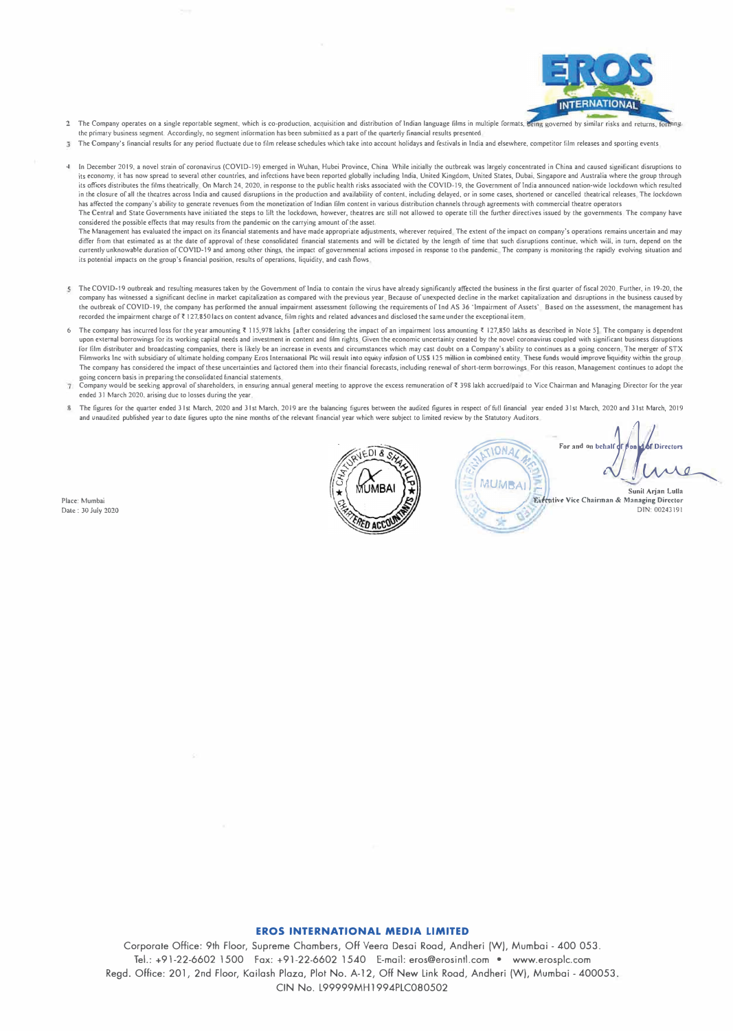

- <sup>2</sup>. The Company operates on a single reportable segment, which is co-production, acquisition and distribution of Indian language films in multiple formats, being governed by similar risks and returns the primary business segment Accordingly, no segment information has been submitted as a part of the quarterly financial results presented
- The Company's financial results for any period tluctualc due to film release schedules which take into account holidays and (estivals in India and elsewhere, competitor film releases and sporting events
- In December 2019, a novel strain of coronavirus (COVID-19) emerged in Wuhan, Hubei Province, China. While initially the outbreak was largely concentrated in China and caused significant disruptions to its economy, it has now spread to several other countries, and infections have been reported globally including India, United Kingdom, United States, Dubai, Singapore and Australia where the group through<br>its offices distr in the closure of all the theatres across India and caused disruptions in the production and availability of content, including delayed, or in some cases, shortened or cancelled theatrical releases. The lockdown has affected the company's ability to generate revenues from the monetization of Indian film content in various distribution channels through agreements with commercial theatre operators The Central and State Governments have initiated the steps to lift the lockdown, however, theatres arc still not allowed to operate till the further directives issued by the governments. The company have

considered the possible effects that may results from the pandemic on the carrying amount of the asset, The Management has evaluated the impact on its financial statements and have made appropriate adjustments, wherever required The extent of the impact on company's operations remains uncertain and may

differ from that estimated as at the date of approval of these consolidated financial statements and will be dictated by the length of time that such disruptions continue, which will, in turn, depend on the the state of th its potential impacts on the group's financial position, results of operations, liquidity, and cash flows

- The COVID-19 outbreak and resulting measures taken by the Government of India to contain the virus have already significantly affected the business in the first quarter of fiscal 2020 Further, in 19-20, the company has witnessed a significant decline in market capitalization as compared with the previous year Because of unexpected decline in the market capitalization and disruptions in the business caused by the outbreak of COVID-19, the company has performed the annual impairment assessment following the requirements of 1nd AS 36 'Impairment of Assets' Based on the assessment, the management has recorded the impairment charge of ₹127.850 lacs on content advance, film rights and related advances and disclosed the same under the exceptional item
- 6 The company has incurred loss for the year amounting� 115,978 lakhs [after considering the impact ofan impairment loss amounting� 127,850 lakhs as described in Note 5] The company is dependent upon external borrowings for its working capital needs and investment in content and film rights. Given the economic uncertainty created by the novel coronavirus coupled with significant business disruptions (ion film of e Filmworks Inc with subsidiary of ultimate holding company Eros International Pic will result into equity infusion of USS 125 million in combined entity These funds would improve liquidity within the group. The company has considered the impact of these uncertainties and factored them into their financial forecasts, including renewal of short-term borrowings For this reason, Management continues to adopt the going concern basis in preparing the consolidated financial statements
- Company would be seeking approval of shareholders, in ensuring annual general meeting to approve the excess remuneration of� 398 lakh accrued/paid to Vice Chairman and Managing Director for the year  $\overline{7}$ ended 31 March 2020, arising due to losses during the year
- 8 The figures for the quarter ended 31st March, 2020 and 31st March, 2020 and 31st March, 2020 and 31st March, 2020 and 31st March, 2019<br>and unaudited published year to date figures upto the nine months of the relevant fin and unaudited published year to date figures upto the nine months of the relevant financial year which were subject to limited review by the Statutory Auditors year ended 31st March, 2020 and 31st March, 2019<br>ors<br>For and on behalf of pool of Directors<br>and Arian Lulla



**MUMBALE** . **We are the sum Argament Argament Summary Argament Argament Argament Argament Argament Argament Argament Argament Argament Argament Argament Argament Argament Argament Argament Argament Argament Argament Argame Eiterative Vice Chairman & Managing Director** DIN: 00243191

Place: Mumbai **Date : 30 July 2020** 

#### **EROS INTERNATIONAL MEDIA LIMITED**

Corporate Office: 9th Floor, Supreme Chambers, Off Veera Desai Road, Andheri (W), Mumbai - 400 053. Tel.: +91-22-6602 1500 Fax: +91-22-6602 1540 E-mail: eros@erosintl.com • www.erosplc.com Regd. Office: 201, 2nd Floor, Kailash Plaza, Plot No. A-12, Off New Link Road, Andheri (W), Mumbai - 400053. CIN No. L99999MH1994PLC080502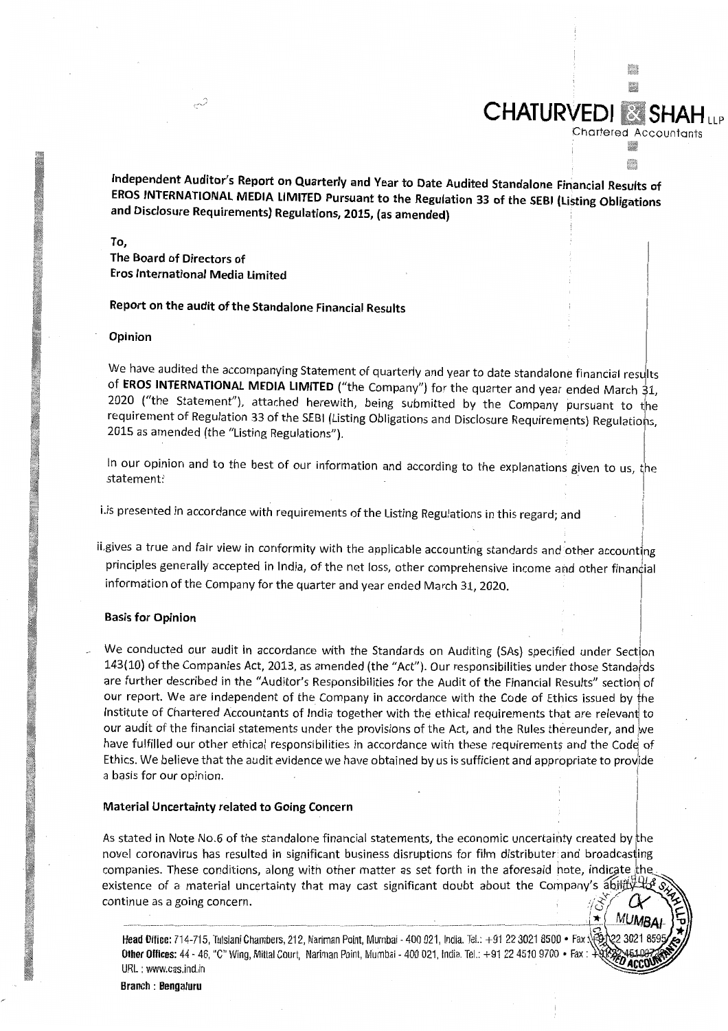Independent Auditor's Report on Quarterly and Year to Date Audited Standalone Financial Results of EROS INTERNATIONAL MEDIA LIMITED Pursuant to the Regulation 33 of the SEBI (Listing Obligations and Disclosure Requirements) Regulations, 2015, (as amended)

**CHATURVEDI** 

Chartered Accountants

æ

To.

The Board of Directors of **Eros International Media Limited** 

Report on the audit of the Standalone Financial Results

#### Opinion

We have audited the accompanying Statement of quarterly and year to date standalone financial results of EROS INTERNATIONAL MEDIA LIMITED ("the Company") for the quarter and year ended March 31, 2020 ("the Statement"), attached herewith, being submitted by the Company pursuant to the requirement of Regulation 33 of the SEBI (Listing Obligations and Disclosure Requirements) Regulations, 2015 as amended (the "Listing Regulations").

In our opinion and to the best of our information and according to the explanations given to us, the statement?

i. is presented in accordance with requirements of the Listing Regulations in this regard; and

ii.gives a true and fair view in conformity with the applicable accounting standards and other accounting principles generally accepted in India, of the net loss, other comprehensive income and other financial information of the Company for the quarter and year ended March 31, 2020.

#### **Basis for Opinion**

We conducted our audit in accordance with the Standards on Auditing (SAs) specified under Section 143(10) of the Companies Act, 2013, as amended (the "Act"). Our responsibilities under those Standards are further described in the "Auditor's Responsibilities for the Audit of the Financial Results" section of our report. We are independent of the Company in accordance with the Code of Ethics issued by the Institute of Chartered Accountants of India together with the ethical requirements that are relevant to our audit of the financial statements under the provisions of the Act, and the Rules thereunder, and we have fulfilled our other ethical responsibilities in accordance with these requirements and the Code of Ethics. We believe that the audit evidence we have obtained by us is sufficient and appropriate to provide a basis for our opinion.

#### Material Uncertainty related to Going Concern

As stated in Note No.6 of the standalone financial statements, the economic uncertainty created by the novel coronavirus has resulted in significant business disruptions for film distributer and broadcasting companies. These conditions, along with other matter as set forth in the aforesaid note, indicate the existence of a material uncertainty that may cast significant doubt about the Company's ability to continue as a going concern.

Head Office: 714-715, Tulsiani Chambers, 212, Nariman Point, Mumbai - 400 021, India. Tel.: +91 22 3021 8500 • Fax \\\$9 Other Offices: 44 - 46, "C" Wing, Mittal Court, Nariman Point, Mumbai - 400 021, India. Tel.: +91 22 4510 9700 . Fax: URL: www.cas.ind.in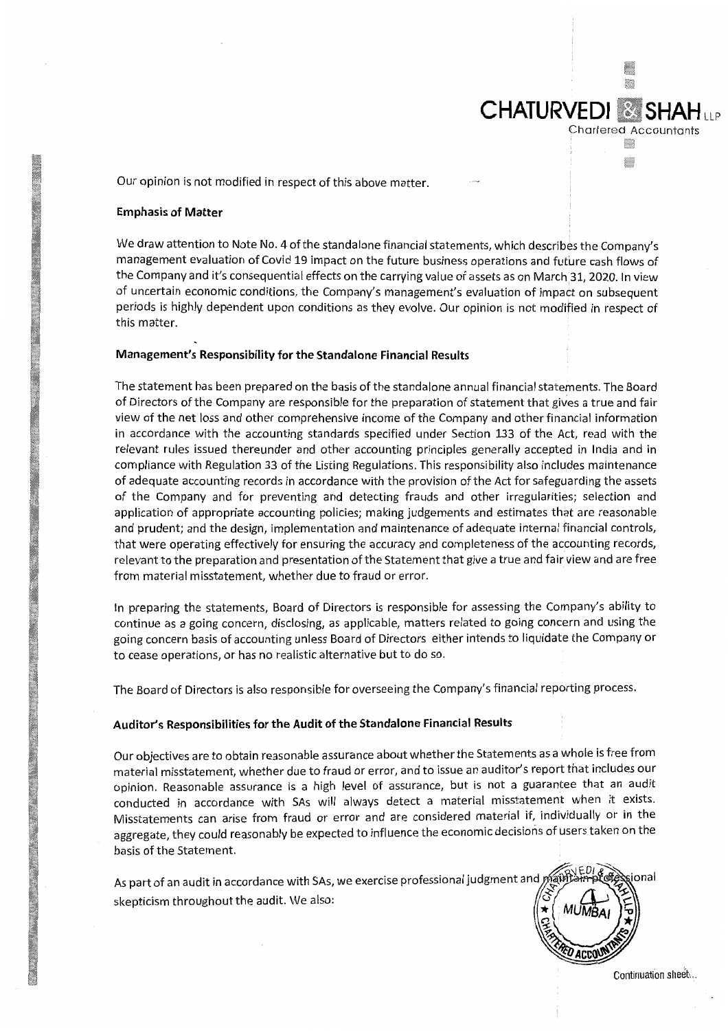

Our opinion is not modified in respect of this above matter.

## **Emphasis of Matter**

We draw attention to Note No. 4 of the standalone financial statements, which describes the Company's management evaluation of Covid 19 impact on the future business operations and future cash flows of the Company and it's consequential effects on the carrying value of assets as on March 31, 2020. In view of uncertain economic conditions, the Company's management's evaluation of impact on subsequent periods is highly dependent upon conditions as they evolve. Our opinion is not modified in respect of this matter.

## Management's Responsibility for the Standalone Financial Results

The statement has been prepared on the basis of the standalone annual financial statements. The Board of Directors of the Company are responsible for the preparation of statement that gives a true and fair view of the net loss and other comprehensive income of the Company and other financial information in accordance with the accounting standards specified under Section 133 of the Act, read with the relevant rules issued thereunder and other accounting principles generally accepted in India and in compliance with Regulation 33 of the Listing Regulations. This responsibility also includes maintenance of adequate accounting records in accordance with the provision of the Act for safeguarding the assets of the Company and for preventing and detecting frauds and other irregularities; selection and application of appropriate accounting policies; making judgements and estimates that are reasonable and prudent; and the design, implementation and maintenance of adequate internal financial controls, that were operating effectively for ensuring the accuracy and completeness of the accounting records, relevant to the preparation and presentation of the Statement that give a true and fair view and are free from material misstatement, whether due to fraud or error.

In preparing the statements, Board of Directors is responsible for assessing the Company's ability to continue as a going concern, disclosing, as applicable, matters related to going concern and using the going concern basis of accounting unless Board of Directors either intends to liquidate the Company or to cease operations, or has no realistic alternative but to do so.

The Board of Directors is also responsible for overseeing the Company's financial reporting process.

## Auditor's Responsibilities for the Audit of the Standalone Financial Results

Our objectives are to obtain reasonable assurance about whether the Statements as a whole is free from material misstatement, whether due to fraud or error, and to issue an auditor's report that includes our opinion. Reasonable assurance is a high level of assurance, but is not a guarantee that an audit conducted in accordance with SAs will always detect a material misstatement when it exists. Misstatements can arise from fraud or error and are considered material if, individually or in the aggregate, they could reasonably be expected to influence the economic decisions of users taken on the basis of the Statement.

ional As part of an audit in accordance with SAs, we exercise professional judgment and  $p$ skepticism throughout the audit. We also:

Continuation sheet.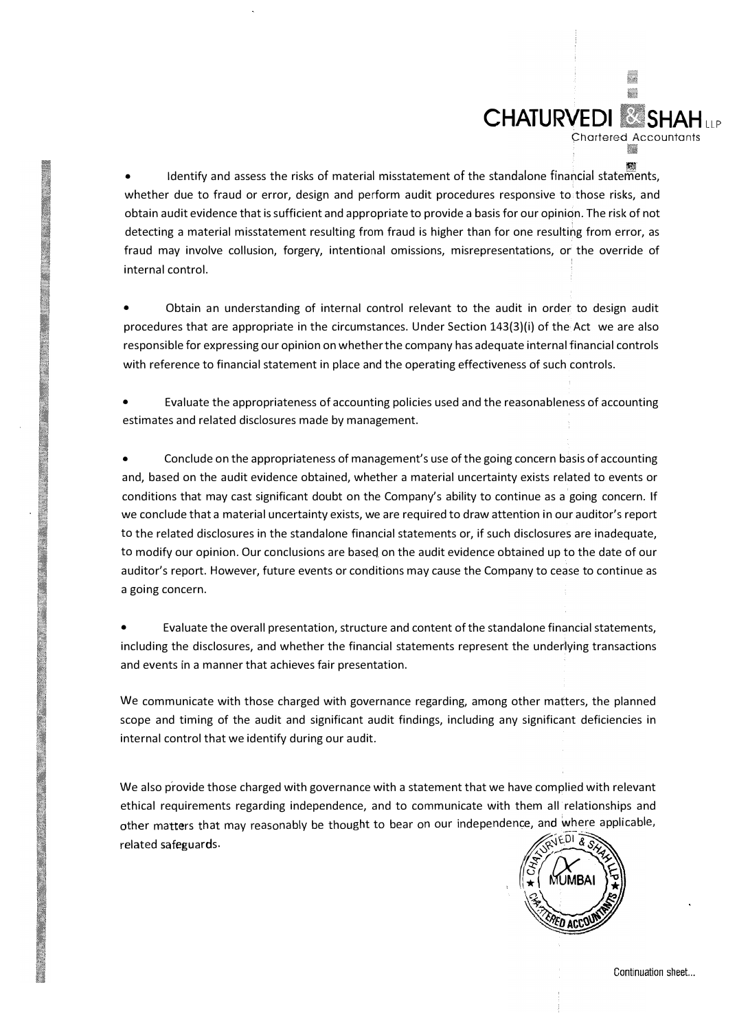Identify and assess the risks of material misstatement of the standalone financial statements, whether due to fraud or error, design and perform audit procedures responsive to those risks, and obtain audit evidence that is sufficient and appropriate to provide a basis for our opinion. The risk of not detecting a material misstatement resulting from fraud is higher than for one resulting from error, as fraud may involve collusion, forgery, intentional omissions, misrepresentations, or the override of internal control.

• Obtain an understanding of internal control relevant to the audit in order to design audit procedures that are appropriate in the circumstances. Under Section 143(3)(i) of the Act we are also responsible for expressing our opinion on whether the company has adequate internal financial controls with reference to financial statement in place and the operating effectiveness of such controls.

• Evaluate the appropriateness of accounting policies used and the reasonableness of accounting estimates and related disclosures made by management.

• Conclude on the appropriateness of management's use of the going concern basis of accounting and, based on the audit evidence obtained, whether a material uncertainty exists related to events or conditions that may cast significant doubt on the Company's ability to continue as a going concern. If we conclude that a material uncertainty exists, we are required to draw attention in our auditor's report to the related disclosures in the standalone financial statements or, if such disclosures are inadequate, to modify our opinion. Our conclusions are based on the audit evidence obtained up to the date of our auditor's report. However, future events or conditions may cause the Company to cease to continue as a going concern.

• Evaluate the overall presentation, structure and content of the standalone financial statements, including the disclosures, and whether the financial statements represent the underlying transactions and events in a manner that achieves fair presentation.

We communicate with those charged with governance regarding, among other matters, the planned scope and timing of the audit and significant audit findings, including any significant deficiencies in internal control that we identify during our audit.

We also provide those charged with governance with a statement that we have complied with relevant ethical requirements regarding independence, and to communicate with them all relationships and other matters that may reasonably be thought to bear on our independence, and where applicable,<br>related safeguards. related safeguards.



**CHATURVEDI & SHAI** 

Chartered Accountants

W)